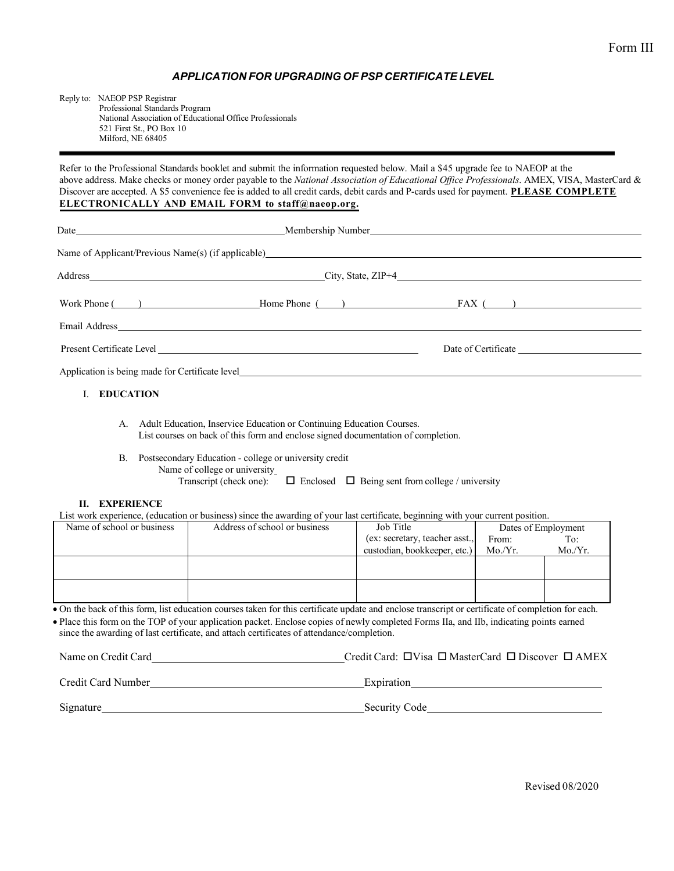## *APPLICATION FOR UPGRADING OF PSP CERTIFICATE LEVEL*

Reply to: NAEOP PSP Registrar Professional Standards Program National Association of Educational Office Professionals 521 First St., PO Box 10 Milford, NE 68405

Refer to the Professional Standards booklet and submit the information requested below. Mail a \$45 upgrade fee to NAEOP at the above address. Make checks or money order payable to the *National Association of Educational Office Professionals*. AMEX, VISA, MasterCard & Discover are accepted. A \$5 convenience fee is added to all credit cards, debit cards and P-cards used for payment. **PLEASE COMPLETE ELECTRONICALLY AND EMAIL FORM to [staff@naeop.org.](mailto:staff@naeop.org)**

| Name of Applicant/Previous Name(s) (if applicable) <b>Solution</b> 2014 12:00 and 2014 12:00 and 2014 12:00 and 2014 12:00 and 2014 12:00 and 2014 12:00 and 2014 12:00 and 2014 12:00 and 2014 12:00 and 2014 12:00 and 2014 12:00 |  |  |
|-------------------------------------------------------------------------------------------------------------------------------------------------------------------------------------------------------------------------------------|--|--|
|                                                                                                                                                                                                                                     |  |  |
|                                                                                                                                                                                                                                     |  |  |
|                                                                                                                                                                                                                                     |  |  |
|                                                                                                                                                                                                                                     |  |  |
| Application is being made for Certificate level                                                                                                                                                                                     |  |  |
| I. EDUCATION                                                                                                                                                                                                                        |  |  |

- A. Adult Education, Inservice Education or Continuing Education Courses. List courses on back of this form and enclose signed documentation of completion.
- B. Postsecondary Education college or university credit Name of college or university
	- Transcript (check one):  $\Box$  Enclosed  $\Box$  Being sent from college / university

## **II. EXPERIENCE**

List work experience, (education or business) since the awarding of your last certificate, beginning with your current position.

| Name of school or business | Address of school or business | Job Title                      | Dates of Employment |        |
|----------------------------|-------------------------------|--------------------------------|---------------------|--------|
|                            |                               | (ex: secretary, teacher asst., | From:               | To:    |
|                            |                               | custodian, bookkeeper, etc.)   | Mo/Yr.              | Mo/Yr. |
|                            |                               |                                |                     |        |
|                            |                               |                                |                     |        |
|                            |                               |                                |                     |        |
|                            |                               |                                |                     |        |

• On the back of this form, list education courses taken for this certificate update and enclose transcript or certificate of completion for each.

• Place this form on the TOP of your application packet. Enclose copies of newly completed Forms IIa, and IIb, indicating points earned since the awarding of last certificate, and attach certificates of attendance/completion.

| Name on Credit Card |  | Credit Card: $\Box$ Visa $\Box$ MasterCard $\Box$ Discover $\Box$ AMEX |  |
|---------------------|--|------------------------------------------------------------------------|--|
|                     |  |                                                                        |  |

Credit Card Number Expiration Signature Security Code Security Code Security Code Security Code Security Code Security Code Security Code Security Code Security Code Security Code Security Code Security Code Security Code Security Code Security Code Se

Revised 08/2020